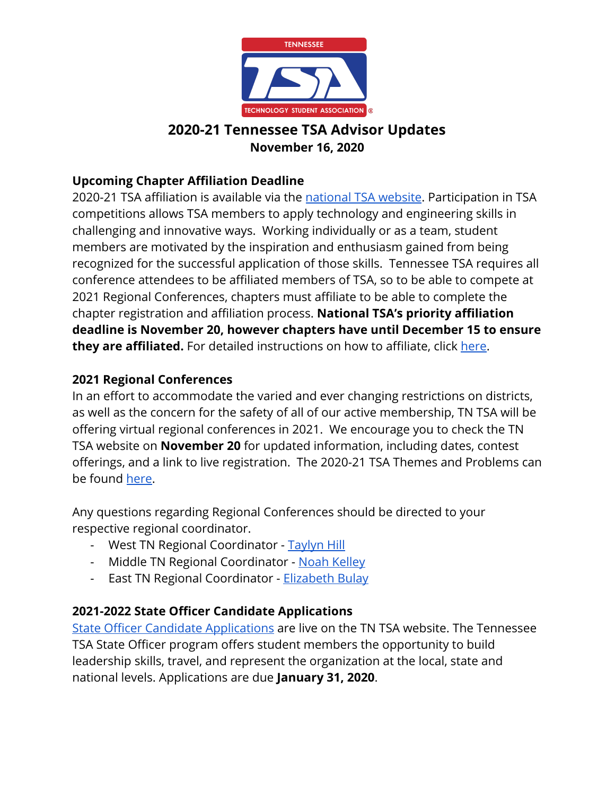

## **2020-21 Tennessee TSA Advisor Updates November 16, 2020**

#### **Upcoming Chapter Affiliation Deadline**

2020-21 TSA affiliation is available via the [national TSA website](https://tsaweb.org/membership/affiliation-and-dues). Participation in TSA competitions allows TSA members to apply technology and engineering skills in challenging and innovative ways. Working individually or as a team, student members are motivated by the inspiration and enthusiasm gained from being recognized for the successful application of those skills. Tennessee TSA requires all conference attendees to be affiliated members of TSA, so to be able to compete at 2021 Regional Conferences, chapters must affiliate to be able to complete the chapter registration and affiliation process. **National TSA's priority affiliation deadline is November 20, however chapters have until December 15 to ensure they are affiliated.** For detailed instructions on how to affiliate, click [here](http://www.tntsa.org/affiliation.html).

#### **2021 Regional Conferences**

In an effort to accommodate the varied and ever changing restrictions on districts, as well as the concern for the safety of all of our active membership, TN TSA will be offering virtual regional conferences in 2021. We encourage you to check the TN TSA website on **November 20** for updated information, including dates, contest offerings, and a link to live registration. The 2020-21 TSA Themes and Problems can be found [here.](https://tsaweb.org/competitions-programs/tsa/themes-problems)

Any questions regarding Regional Conferences should be directed to your respective regional coordinator.

- West TN Regional Coordinator - [Taylyn Hill](mailto:Taylyn.Hill@tntsa.org)
- Middle TN Regional Coordinator - [Noah Kelley](mailto:Noah.Kelley@tntsa.org)
- East TN Regional Coordinator - [Elizabeth Bulay](mailto:Elizabeth.Bulay@tntsa.org)

#### **2021-2022 State Officer Candidate Applications**

[State Officer Candidate Applications](http://www.tntsa.org/state-officer-application.html) are live on the TN TSA website. The Tennessee TSA State Officer program offers student members the opportunity to build leadership skills, travel, and represent the organization at the local, state and national levels. Applications are due **January 31, 2020**.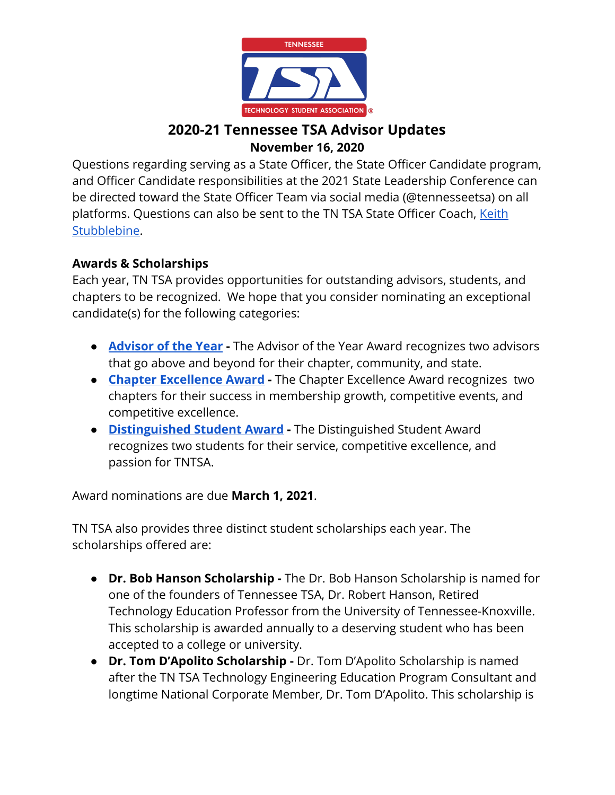

### **2020-21 Tennessee TSA Advisor Updates November 16, 2020**

Questions regarding serving as a State Officer, the State Officer Candidate program, and Officer Candidate responsibilities at the 2021 State Leadership Conference can be directed toward the State Officer Team via social media (@tennesseetsa) on all platforms. Questions can also be sent to the TN TSA State Officer Coach, [Keith](mailto:keith.stubblebine@tntsa.org) [Stubblebine.](mailto:keith.stubblebine@tntsa.org)

#### **Awards & Scholarships**

Each year, TN TSA provides opportunities for outstanding advisors, students, and chapters to be recognized. We hope that you consider nominating an exceptional candidate(s) for the following categories:

- **[Advisor of the Year](https://tsaweb.org/resources/awards-and-scholarships) -** The Advisor of the Year Award recognizes two advisors that go above and beyond for their chapter, community, and state.
- **[Chapter Excellence Award](https://tsaweb.org/resources/awards-and-scholarships)** The Chapter Excellence Award recognizes two chapters for their success in membership growth, competitive events, and competitive excellence.
- **[Distinguished Student Award](http://www.tntsa.org/distinguished-student-award.html)** The Distinguished Student Award recognizes two students for their service, competitive excellence, and passion for TNTSA.

Award nominations are due **March 1, 2021**.

TN TSA also provides three distinct student scholarships each year. The scholarships offered are:

- **● Dr. Bob Hanson Scholarship** The Dr. Bob Hanson Scholarship is named for one of the founders of Tennessee TSA, Dr. Robert Hanson, Retired Technology Education Professor from the University of Tennessee-Knoxville. This scholarship is awarded annually to a deserving student who has been accepted to a college or university.
- **Dr. Tom D'Apolito Scholarship -** Dr. Tom D'Apolito Scholarship is named after the TN TSA Technology Engineering Education Program Consultant and longtime National Corporate Member, Dr. Tom D'Apolito. This scholarship is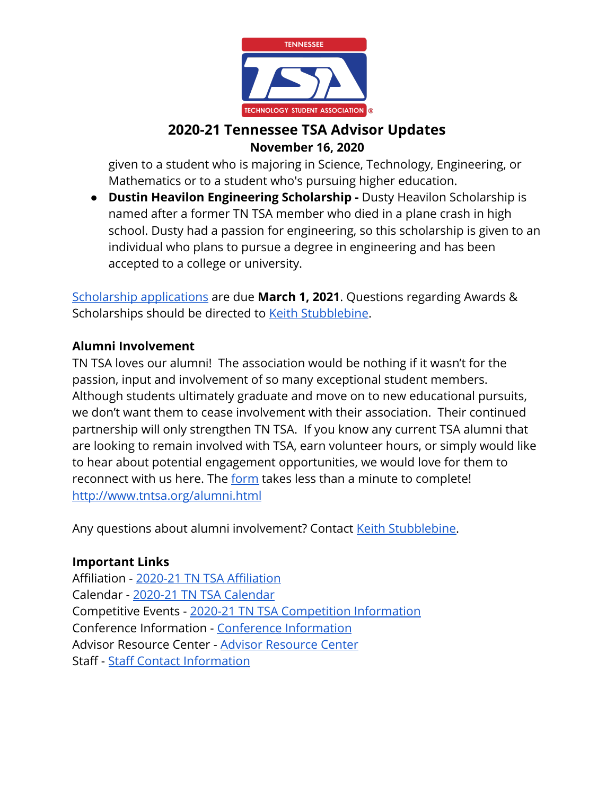

#### **2020-21 Tennessee TSA Advisor Updates November 16, 2020**

given to a student who is majoring in Science, Technology, Engineering, or Mathematics or to a student who's pursuing higher education.

**• Dustin Heavilon Engineering Scholarship - Dusty Heavilon Scholarship is** named after a former TN TSA member who died in a plane crash in high school. Dusty had a passion for engineering, so this scholarship is given to an individual who plans to pursue a degree in engineering and has been accepted to a college or university.

[Scholarship applications](http://www.tntsa.org/scholarship-application.html) are due **March 1, 2021**. Questions regarding Awards & Scholarships should be directed to [Keith Stubblebine](mailto:Keith.Stubblebine@tntsa.org).

#### **Alumni Involvement**

TN TSA loves our alumni! The association would be nothing if it wasn't for the passion, input and involvement of so many exceptional student members. Although students ultimately graduate and move on to new educational pursuits, we don't want them to cease involvement with their association. Their continued partnership will only strengthen TN TSA. If you know any current TSA alumni that are looking to remain involved with TSA, earn volunteer hours, or simply would like to hear about potential engagement opportunities, we would love for them to reconnect with us here. The [form](http://www.tntsa.org/alumni.html) takes less than a minute to complete! <http://www.tntsa.org/alumni.html>

Any questions about alumni involvement? Contact [Keith Stubblebine](mailto:keith.stubblebine@tntsa.org).

#### **Important Links**

Affiliation - [2020-21 TN TSA Affiliation](http://www.tntsa.org/affiliation.html) Calendar - [2020-21 TN TSA Calendar](http://www.tntsa.org/calendar.html) Competitive Events - [2020-21 TN TSA Competition Information](http://www.tntsa.org/competitive-events.html) Conference Information - [Conference Information](http://www.tntsa.org/conferences.html) Advisor Resource Center - [Advisor Resource Center](http://www.tntsa.org/advisor-resource-center.html) Staff - [Staff Contact Information](http://www.tntsa.org/staff.html)